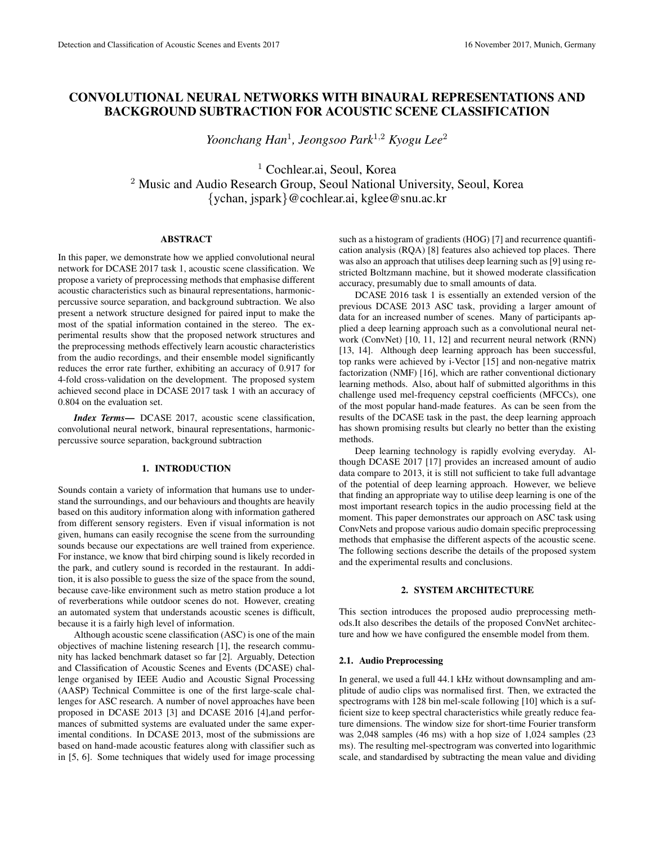# CONVOLUTIONAL NEURAL NETWORKS WITH BINAURAL REPRESENTATIONS AND BACKGROUND SUBTRACTION FOR ACOUSTIC SCENE CLASSIFICATION

*Yoonchang Han*<sup>1</sup> *, Jeongsoo Park*<sup>1</sup>,<sup>2</sup> *Kyogu Lee*<sup>2</sup>

<sup>1</sup> Cochlear.ai, Seoul, Korea <sup>2</sup> Music and Audio Research Group, Seoul National University, Seoul, Korea {ychan, jspark}@cochlear.ai, kglee@snu.ac.kr

# ABSTRACT

In this paper, we demonstrate how we applied convolutional neural network for DCASE 2017 task 1, acoustic scene classification. We propose a variety of preprocessing methods that emphasise different acoustic characteristics such as binaural representations, harmonicpercussive source separation, and background subtraction. We also present a network structure designed for paired input to make the most of the spatial information contained in the stereo. The experimental results show that the proposed network structures and the preprocessing methods effectively learn acoustic characteristics from the audio recordings, and their ensemble model significantly reduces the error rate further, exhibiting an accuracy of 0.917 for 4-fold cross-validation on the development. The proposed system achieved second place in DCASE 2017 task 1 with an accuracy of 0.804 on the evaluation set.

*Index Terms*— DCASE 2017, acoustic scene classification, convolutional neural network, binaural representations, harmonicpercussive source separation, background subtraction

## 1. INTRODUCTION

Sounds contain a variety of information that humans use to understand the surroundings, and our behaviours and thoughts are heavily based on this auditory information along with information gathered from different sensory registers. Even if visual information is not given, humans can easily recognise the scene from the surrounding sounds because our expectations are well trained from experience. For instance, we know that bird chirping sound is likely recorded in the park, and cutlery sound is recorded in the restaurant. In addition, it is also possible to guess the size of the space from the sound, because cave-like environment such as metro station produce a lot of reverberations while outdoor scenes do not. However, creating an automated system that understands acoustic scenes is difficult, because it is a fairly high level of information.

Although acoustic scene classification (ASC) is one of the main objectives of machine listening research [1], the research community has lacked benchmark dataset so far [2]. Arguably, Detection and Classification of Acoustic Scenes and Events (DCASE) challenge organised by IEEE Audio and Acoustic Signal Processing (AASP) Technical Committee is one of the first large-scale challenges for ASC research. A number of novel approaches have been proposed in DCASE 2013 [3] and DCASE 2016 [4],and performances of submitted systems are evaluated under the same experimental conditions. In DCASE 2013, most of the submissions are based on hand-made acoustic features along with classifier such as in [5, 6]. Some techniques that widely used for image processing such as a histogram of gradients (HOG) [7] and recurrence quantification analysis (RQA) [8] features also achieved top places. There was also an approach that utilises deep learning such as [9] using restricted Boltzmann machine, but it showed moderate classification accuracy, presumably due to small amounts of data.

DCASE 2016 task 1 is essentially an extended version of the previous DCASE 2013 ASC task, providing a larger amount of data for an increased number of scenes. Many of participants applied a deep learning approach such as a convolutional neural network (ConvNet) [10, 11, 12] and recurrent neural network (RNN) [13, 14]. Although deep learning approach has been successful, top ranks were achieved by i-Vector [15] and non-negative matrix factorization (NMF) [16], which are rather conventional dictionary learning methods. Also, about half of submitted algorithms in this challenge used mel-frequency cepstral coefficients (MFCCs), one of the most popular hand-made features. As can be seen from the results of the DCASE task in the past, the deep learning approach has shown promising results but clearly no better than the existing methods.

Deep learning technology is rapidly evolving everyday. Although DCASE 2017 [17] provides an increased amount of audio data compare to 2013, it is still not sufficient to take full advantage of the potential of deep learning approach. However, we believe that finding an appropriate way to utilise deep learning is one of the most important research topics in the audio processing field at the moment. This paper demonstrates our approach on ASC task using ConvNets and propose various audio domain specific preprocessing methods that emphasise the different aspects of the acoustic scene. The following sections describe the details of the proposed system and the experimental results and conclusions.

# 2. SYSTEM ARCHITECTURE

This section introduces the proposed audio preprocessing methods.It also describes the details of the proposed ConvNet architecture and how we have configured the ensemble model from them.

#### 2.1. Audio Preprocessing

In general, we used a full 44.1 kHz without downsampling and amplitude of audio clips was normalised first. Then, we extracted the spectrograms with 128 bin mel-scale following [10] which is a sufficient size to keep spectral characteristics while greatly reduce feature dimensions. The window size for short-time Fourier transform was 2,048 samples (46 ms) with a hop size of 1,024 samples (23 ms). The resulting mel-spectrogram was converted into logarithmic scale, and standardised by subtracting the mean value and dividing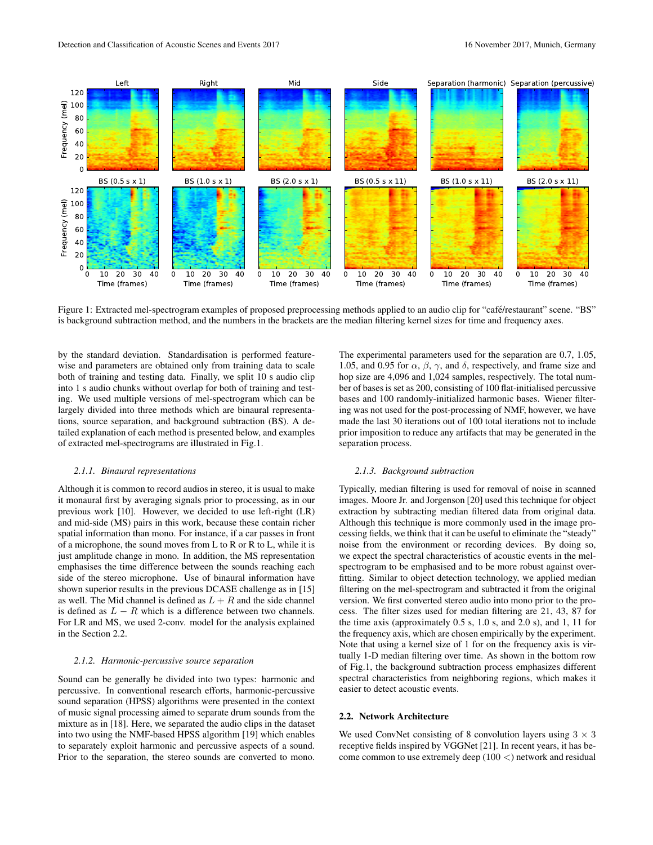

Figure 1: Extracted mel-spectrogram examples of proposed preprocessing methods applied to an audio clip for "café/restaurant" scene. "BS" is background subtraction method, and the numbers in the brackets are the median filtering kernel sizes for time and frequency axes.

by the standard deviation. Standardisation is performed featurewise and parameters are obtained only from training data to scale both of training and testing data. Finally, we split 10 s audio clip into 1 s audio chunks without overlap for both of training and testing. We used multiple versions of mel-spectrogram which can be largely divided into three methods which are binaural representations, source separation, and background subtraction (BS). A detailed explanation of each method is presented below, and examples of extracted mel-spectrograms are illustrated in Fig.1.

#### *2.1.1. Binaural representations*

Although it is common to record audios in stereo, it is usual to make it monaural first by averaging signals prior to processing, as in our previous work [10]. However, we decided to use left-right (LR) and mid-side (MS) pairs in this work, because these contain richer spatial information than mono. For instance, if a car passes in front of a microphone, the sound moves from L to R or R to L, while it is just amplitude change in mono. In addition, the MS representation emphasises the time difference between the sounds reaching each side of the stereo microphone. Use of binaural information have shown superior results in the previous DCASE challenge as in [15] as well. The Mid channel is defined as  $L + R$  and the side channel is defined as  $L - R$  which is a difference between two channels. For LR and MS, we used 2-conv. model for the analysis explained in the Section 2.2.

### *2.1.2. Harmonic-percussive source separation*

Sound can be generally be divided into two types: harmonic and percussive. In conventional research efforts, harmonic-percussive sound separation (HPSS) algorithms were presented in the context of music signal processing aimed to separate drum sounds from the mixture as in [18]. Here, we separated the audio clips in the dataset into two using the NMF-based HPSS algorithm [19] which enables to separately exploit harmonic and percussive aspects of a sound. Prior to the separation, the stereo sounds are converted to mono.

The experimental parameters used for the separation are 0.7, 1.05, 1.05, and 0.95 for  $\alpha$ ,  $\beta$ ,  $\gamma$ , and  $\delta$ , respectively, and frame size and hop size are 4,096 and 1,024 samples, respectively. The total number of bases is set as 200, consisting of 100 flat-initialised percussive bases and 100 randomly-initialized harmonic bases. Wiener filtering was not used for the post-processing of NMF, however, we have made the last 30 iterations out of 100 total iterations not to include prior imposition to reduce any artifacts that may be generated in the separation process.

#### *2.1.3. Background subtraction*

Typically, median filtering is used for removal of noise in scanned images. Moore Jr. and Jorgenson [20] used this technique for object extraction by subtracting median filtered data from original data. Although this technique is more commonly used in the image processing fields, we think that it can be useful to eliminate the "steady" noise from the environment or recording devices. By doing so, we expect the spectral characteristics of acoustic events in the melspectrogram to be emphasised and to be more robust against overfitting. Similar to object detection technology, we applied median filtering on the mel-spectrogram and subtracted it from the original version. We first converted stereo audio into mono prior to the process. The filter sizes used for median filtering are 21, 43, 87 for the time axis (approximately 0.5 s, 1.0 s, and 2.0 s), and 1, 11 for the frequency axis, which are chosen empirically by the experiment. Note that using a kernel size of 1 for on the frequency axis is virtually 1-D median filtering over time. As shown in the bottom row of Fig.1, the background subtraction process emphasizes different spectral characteristics from neighboring regions, which makes it easier to detect acoustic events.

# 2.2. Network Architecture

We used ConvNet consisting of 8 convolution layers using  $3 \times 3$ receptive fields inspired by VGGNet [21]. In recent years, it has become common to use extremely deep  $(100 \lt)$  network and residual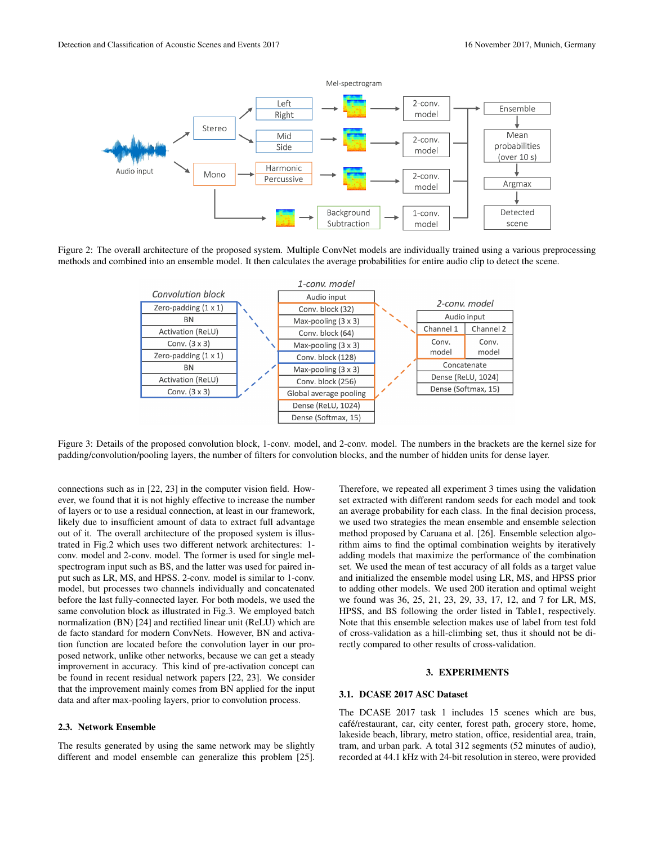

Figure 2: The overall architecture of the proposed system. Multiple ConvNet models are individually trained using a various preprocessing methods and combined into an ensemble model. It then calculates the average probabilities for entire audio clip to detect the scene.



Figure 3: Details of the proposed convolution block, 1-conv. model, and 2-conv. model. The numbers in the brackets are the kernel size for padding/convolution/pooling layers, the number of filters for convolution blocks, and the number of hidden units for dense layer.

connections such as in [22, 23] in the computer vision field. However, we found that it is not highly effective to increase the number of layers or to use a residual connection, at least in our framework, likely due to insufficient amount of data to extract full advantage out of it. The overall architecture of the proposed system is illustrated in Fig.2 which uses two different network architectures: 1 conv. model and 2-conv. model. The former is used for single melspectrogram input such as BS, and the latter was used for paired input such as LR, MS, and HPSS. 2-conv. model is similar to 1-conv. model, but processes two channels individually and concatenated before the last fully-connected layer. For both models, we used the same convolution block as illustrated in Fig.3. We employed batch normalization (BN) [24] and rectified linear unit (ReLU) which are de facto standard for modern ConvNets. However, BN and activation function are located before the convolution layer in our proposed network, unlike other networks, because we can get a steady improvement in accuracy. This kind of pre-activation concept can be found in recent residual network papers [22, 23]. We consider that the improvement mainly comes from BN applied for the input data and after max-pooling layers, prior to convolution process.

# 2.3. Network Ensemble

The results generated by using the same network may be slightly different and model ensemble can generalize this problem [25].

Therefore, we repeated all experiment 3 times using the validation set extracted with different random seeds for each model and took an average probability for each class. In the final decision process, we used two strategies the mean ensemble and ensemble selection method proposed by Caruana et al. [26]. Ensemble selection algorithm aims to find the optimal combination weights by iteratively adding models that maximize the performance of the combination set. We used the mean of test accuracy of all folds as a target value and initialized the ensemble model using LR, MS, and HPSS prior to adding other models. We used 200 iteration and optimal weight we found was 36, 25, 21, 23, 29, 33, 17, 12, and 7 for LR, MS, HPSS, and BS following the order listed in Table1, respectively. Note that this ensemble selection makes use of label from test fold of cross-validation as a hill-climbing set, thus it should not be directly compared to other results of cross-validation.

#### 3. EXPERIMENTS

# 3.1. DCASE 2017 ASC Dataset

The DCASE 2017 task 1 includes 15 scenes which are bus, café/restaurant, car, city center, forest path, grocery store, home, lakeside beach, library, metro station, office, residential area, train, tram, and urban park. A total 312 segments (52 minutes of audio), recorded at 44.1 kHz with 24-bit resolution in stereo, were provided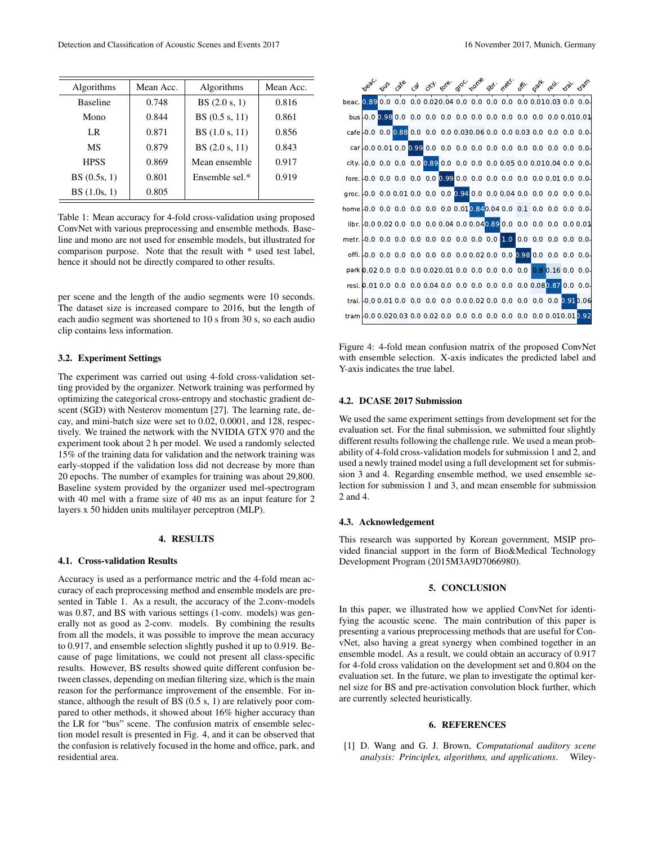| Algorithms      | Mean Acc. | Algorithms       | Mean Acc. |
|-----------------|-----------|------------------|-----------|
| <b>Baseline</b> | 0.748     | BS(2.0 s, 1)     | 0.816     |
| Mono            | 0.844     | BS $(0.5 s, 11)$ | 0.861     |
| LR              | 0.871     | BS(1.0 s, 11)    | 0.856     |
| MS              | 0.879     | BS(2.0 s, 11)    | 0.843     |
| <b>HPSS</b>     | 0.869     | Mean ensemble    | 0.917     |
| BS(0.5s, 1)     | 0.801     | Ensemble sel.*   | 0.919     |
| BS(1.0s, 1)     | 0.805     |                  |           |

Table 1: Mean accuracy for 4-fold cross-validation using proposed ConvNet with various preprocessing and ensemble methods. Baseline and mono are not used for ensemble models, but illustrated for comparison purpose. Note that the result with \* used test label, hence it should not be directly compared to other results.

per scene and the length of the audio segments were 10 seconds. The dataset size is increased compare to 2016, but the length of each audio segment was shortened to 10 s from 30 s, so each audio clip contains less information.

### 3.2. Experiment Settings

The experiment was carried out using 4-fold cross-validation setting provided by the organizer. Network training was performed by optimizing the categorical cross-entropy and stochastic gradient descent (SGD) with Nesterov momentum [27]. The learning rate, decay, and mini-batch size were set to 0.02, 0.0001, and 128, respectively. We trained the network with the NVIDIA GTX 970 and the experiment took about 2 h per model. We used a randomly selected 15% of the training data for validation and the network training was early-stopped if the validation loss did not decrease by more than 20 epochs. The number of examples for training was about 29,800. Baseline system provided by the organizer used mel-spectrogram with 40 mel with a frame size of 40 ms as an input feature for 2 layers x 50 hidden units multilayer perceptron (MLP).

# 4. RESULTS

#### 4.1. Cross-validation Results

Accuracy is used as a performance metric and the 4-fold mean accuracy of each preprocessing method and ensemble models are presented in Table 1. As a result, the accuracy of the 2.conv-models was 0.87, and BS with various settings (1-conv. models) was generally not as good as 2-conv. models. By combining the results from all the models, it was possible to improve the mean accuracy to 0.917, and ensemble selection slightly pushed it up to 0.919. Because of page limitations, we could not present all class-specific results. However, BS results showed quite different confusion between classes, depending on median filtering size, which is the main reason for the performance improvement of the ensemble. For instance, although the result of BS (0.5 s, 1) are relatively poor compared to other methods, it showed about 16% higher accuracy than the LR for "bus" scene. The confusion matrix of ensemble selection model result is presented in Fig. 4, and it can be observed that the confusion is relatively focused in the home and office, park, and residential area.



Figure 4: 4-fold mean confusion matrix of the proposed ConvNet with ensemble selection. X-axis indicates the predicted label and Y-axis indicates the true label.

## 4.2. DCASE 2017 Submission

We used the same experiment settings from development set for the evaluation set. For the final submission, we submitted four slightly different results following the challenge rule. We used a mean probability of 4-fold cross-validation models for submission 1 and 2, and used a newly trained model using a full development set for submission 3 and 4. Regarding ensemble method, we used ensemble selection for submission 1 and 3, and mean ensemble for submission 2 and 4.

#### 4.3. Acknowledgement

This research was supported by Korean government, MSIP provided financial support in the form of Bio&Medical Technology Development Program (2015M3A9D7066980).

#### 5. CONCLUSION

In this paper, we illustrated how we applied ConvNet for identifying the acoustic scene. The main contribution of this paper is presenting a various preprocessing methods that are useful for ConvNet, also having a great synergy when combined together in an ensemble model. As a result, we could obtain an accuracy of 0.917 for 4-fold cross validation on the development set and 0.804 on the evaluation set. In the future, we plan to investigate the optimal kernel size for BS and pre-activation convolution block further, which are currently selected heuristically.

#### 6. REFERENCES

[1] D. Wang and G. J. Brown, *Computational auditory scene analysis: Principles, algorithms, and applications*. Wiley